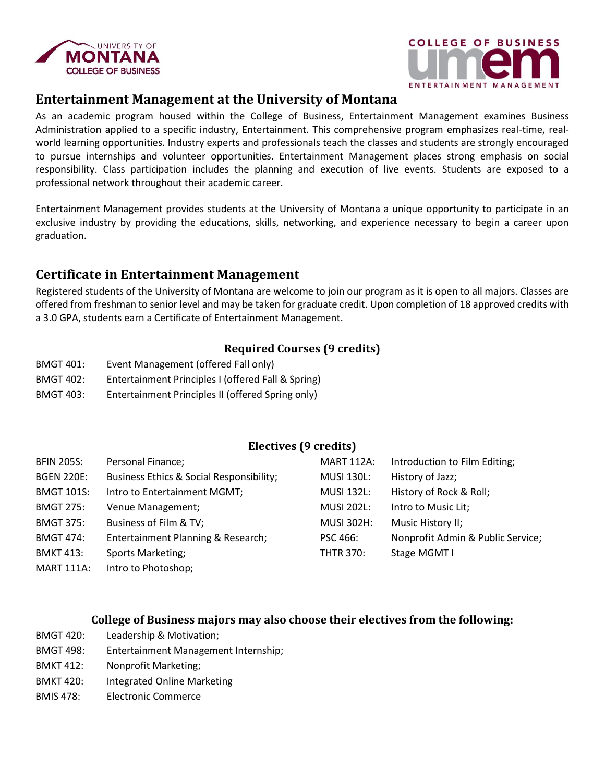



# **Entertainment Management at the University of Montana**

As an academic program housed within the College of Business, Entertainment Management examines Business Administration applied to a specific industry, Entertainment. This comprehensive program emphasizes real-time, realworld learning opportunities. Industry experts and professionals teach the classes and students are strongly encouraged to pursue internships and volunteer opportunities. Entertainment Management places strong emphasis on social responsibility. Class participation includes the planning and execution of live events. Students are exposed to a professional network throughout their academic career.

Entertainment Management provides students at the University of Montana a unique opportunity to participate in an exclusive industry by providing the educations, skills, networking, and experience necessary to begin a career upon graduation.

# **Certificate in Entertainment Management**

Registered students of the University of Montana are welcome to join our program as it is open to all majors. Classes are offered from freshman to senior level and may be taken for graduate credit. Upon completion of 18 approved credits with a 3.0 GPA, students earn a Certificate of Entertainment Management.

#### **Required Courses (9 credits)**

- BMGT 401: Event Management (offered Fall only)
- BMGT 402: Entertainment Principles I (offered Fall & Spring)
- BMGT 403: Entertainment Principles II (offered Spring only)

### **Electives (9 credits)**

| <b>BFIN 205S:</b> | Personal Finance;                        | <b>MART 112A:</b> | Introduction to Film Editing;     |
|-------------------|------------------------------------------|-------------------|-----------------------------------|
| <b>BGEN 220E:</b> | Business Ethics & Social Responsibility; | <b>MUSI 130L:</b> | History of Jazz;                  |
| <b>BMGT 101S:</b> | Intro to Entertainment MGMT;             | <b>MUSI 132L:</b> | History of Rock & Roll;           |
| <b>BMGT 275:</b>  | Venue Management;                        | <b>MUSI 202L:</b> | Intro to Music Lit;               |
| <b>BMGT 375:</b>  | Business of Film & TV;                   | <b>MUSI 302H:</b> | Music History II;                 |
| <b>BMGT 474:</b>  | Entertainment Planning & Research;       | <b>PSC 466:</b>   | Nonprofit Admin & Public Service; |
| <b>BMKT 413:</b>  | <b>Sports Marketing;</b>                 | <b>THTR 370:</b>  | Stage MGMT I                      |
| <b>MART 111A:</b> | Intro to Photoshop;                      |                   |                                   |

#### **College of Business majors may also choose their electives from the following:**

- BMGT 420: Leadership & Motivation;
- BMGT 498: Entertainment Management Internship;
- BMKT 412: Nonprofit Marketing;
- BMKT 420: Integrated Online Marketing
- BMIS 478: Electronic Commerce